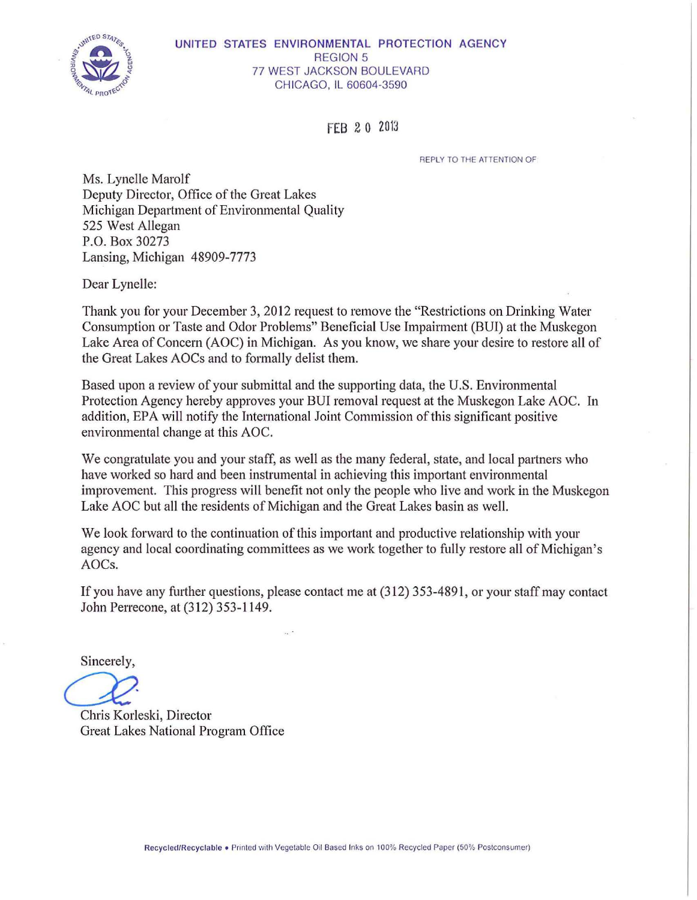

### UNITED STATES ENVIRONMENTAL PROTECTION AGENCY REGION 5 77 WEST JACKSON BOULEVARD CHICAGO, IL 60604-3590

FEB 20 2013

REPLY TO THE ATTENTION OF

Ms. Lynelle Marolf Deputy Director, Office of the Great Lakes Michigan Department of Environmental Quality 525 West Allegan P.O. Box 30273 Lansing, Michigan 48909-7773

Dear Lynelle:

Thank you for your December 3, 2012 request to remove the "Restrictions on Drinking Water Consumption or Taste and Odor Problems" Beneficial Use Impairment (BUI) at the Muskegon Lake Area of Concern (AOC) in Michigan. As you know, we share your desire to restore all of the Great Lakes AOCs and to formally delist them.

Based upon a review of your submittal and the supporting data, the U.S. Environmental Protection Agency hereby approves your BUI removal request at the Muskegon Lake AOC. In addition, EPA will notify the International Joint Commission of this significant positive environmental change at this AOC.

We congratulate you and your staff, as well as the many federal, state, and local partners who have worked so hard and been instrumental in achieving this important environmental improvement. This progress will benefit not only the people who live and work in the Muskegon Lake AOC but all the residents of Michigan and the Great Lakes basin as well.

We look forward to the continuation of this important and productive relationship with your agency and local coordinating committees as we work together to fully restore all of Michigan's AOCs.

If you have any further questions, please contact me at (312) 353-4891, or your staff may contact John Perrecone, at (312) 353-1149.

Sincerely,

Sincerely,<br>
Chris Korleski, Director

Great Lakes National Program Office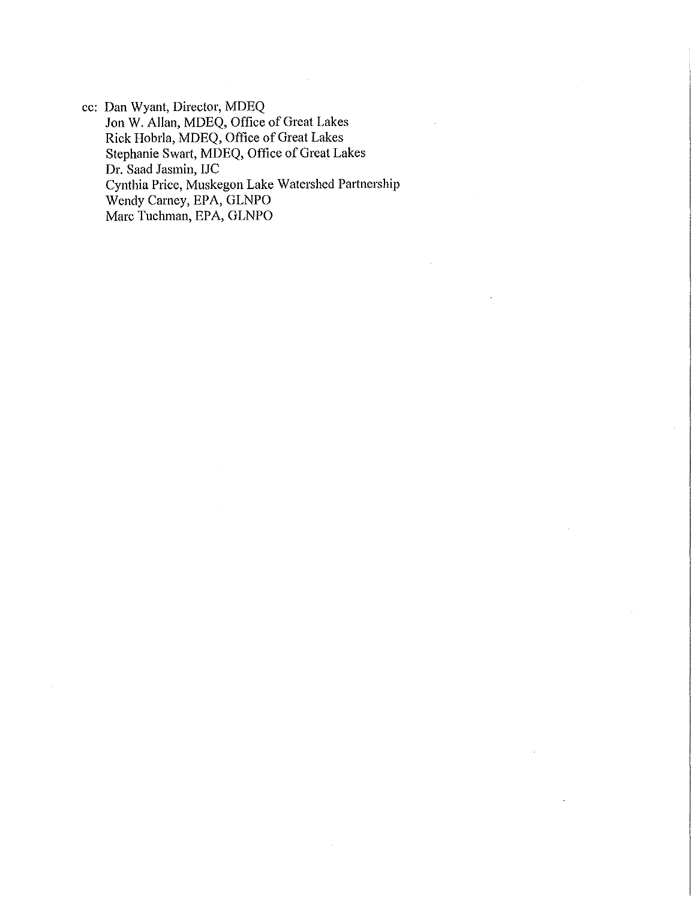cc: Dan Wyant, Director, MDEQ Jon W. Allan, MDEQ, Office of Great Lakes Rick Hobrla, MDEQ, Office of Great Lakes Stephanie Swart, MDEQ, Office of Great Lakes Dr. Saad Jasmin, IJC Cynthia Price, Muskegon Lake Watershed Partnership Wendy Carney, EPA, GLNPO Marc Tuchman, EPA, GLNPO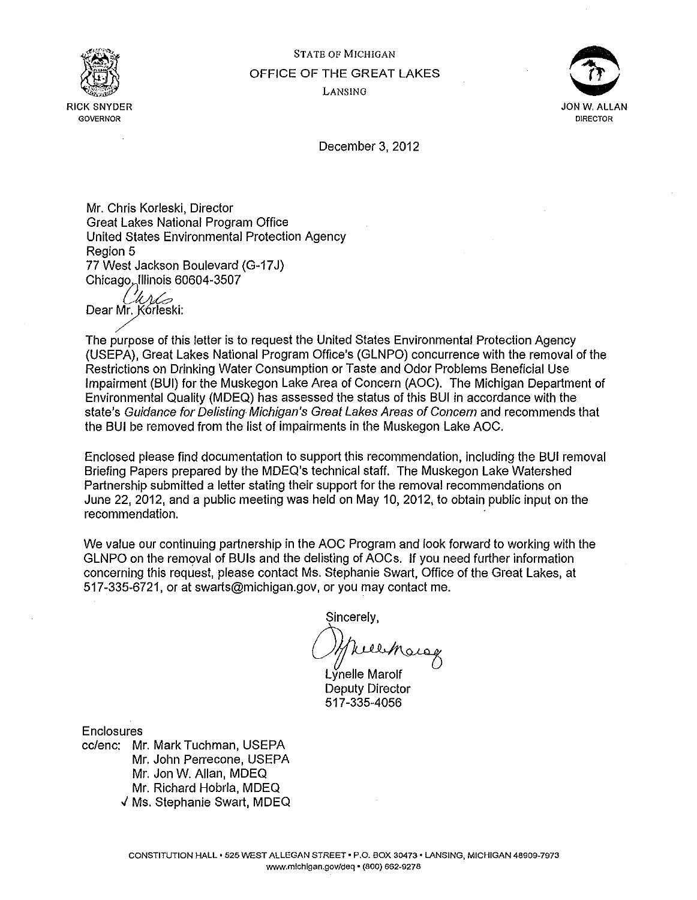

STATE OF MICHIGAN OFFICE OF THE GREAT LAKES LANSING

 $\mathcal{F}$ " I JON W. ALLAN **DIRECTOR** 

December 3, 2012

Mr. Chris Korleski, Director Great Lakes National Program Office United States Environmental Protection Agency Region 5 77 West Jackson Boulevard (G-17J) Chicago, Illinois 60604-3507

*CIUL>*<br>:Dear Mr. Korleski

The purpose of this letter is to request the United States Environmental Protection Agency (USEPA), Great Lakes National Program Office's (GLNPO) concurrence with the removal of the Restrictions on Drinking Water Consumption or Taste and Odor Problems Beneficial Use Impairment (BUI) for the Muskegon Lake Area of Concern (AOC). The Michigan Department of Environmental Quality (MDEQ) has assessed the status of this BUI in accordance with the state's Guidance for Delisting Michigan's Great Lakes Areas of Concern and recommends that the BUI be removed from the list of impairments in the Muskegon Lake AOC.

Enclosed please find documentation to support this recommendation, including the BUI removal Briefing Papers prepared by the MDEQ's technical staff. The Muskegon Lake Watershed Partnership submitted a letter stating their support for the removal recommendations on June 22, 2012, and a public meeting was held on May 10, 2012, to obtain public input on the recommendation.

We value our continuing partnership in the AOC Program and look forward to working with the GLNPO on the removal of BUIs and the delisting of AOCs. If you need further information concerning this request, please contact Ms. Stephanie Swart, Office of the Great Lakes, at 517-335-6721, or at swarts@michigan.gov, or you may contact me.

Sincerely,

Welcharge

Lynelle Marolf Deputy Director 517-335-4056

**Enclosures** 

cc/enc: Mr. Mark Tuchman, USEPA Mr. John Perrecone, USEPA Mr. Jon W. Allan, MDEQ Mr. Richard Hobrla, MDEQ J Ms. Stephanie Swart, MDEQ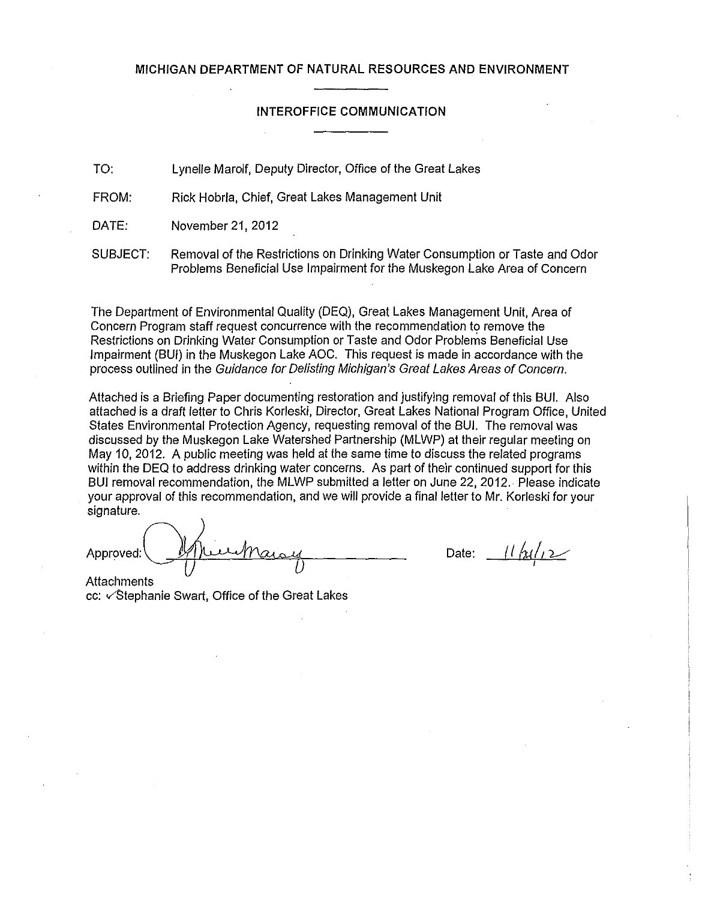#### **MICHIGAN DEPARTMENT OF NATURAL RESOURCES AND ENVIRONMENT**

### **INTEROFFICE COMMUNICATION**

TO: Lynelle Marolf, Deputy Director, Office of the Great Lakes

FROM: Rick Hobrla, Chief, Great Lakes Management Unit

DATE: November 21, 2012

SUBJECT: Removal of the Restrictions on Drinking Water Consumption or Taste and Odor Problems Beneficial Use Impairment for the Muskegon Lake Area of Concern

The Department of Environmental Quality (DEQ), Great Lakes Management Unit, Area of Concern Program staff request concurrence with the recommendation to remove the Restrictions on Drinking Water Consumption or Taste and Odor Problems Beneficial Use Impairment (SUI) in the Muskegon Lake AOC. This request is made in accordance with the process outlined in the Guidance for Delisting Michigan's Great Lakes Areas of Concern.

Attached is a Briefing Paper documenting restoration and justifying removal of this BUI. Also attached is a draft letter to Chris Korleski, Director, Great Lakes National Program Office, United States Environmental Protection Agency, requesting removal of the SUI. The removal was discussed by the Muskegon Lake Watershed Partnership (MLWP) at their regular meeting on May 10, 2012. A public meeting was held at the same time to discuss the related programs within the DEQ to address drinking water concerns. As part of their continued support for this SUI removal recommendation, the MLWP submitted a letter on June 22, 2012. Please indicate your approval of this recommendation, and we will provide a final letter to Mr. Korleski for your signature.

Approved: Minhaisy

**Attachments** cc:  $\checkmark$ Stephanie Swart, Office of the Great Lakes

Date:  $\frac{1}{2}$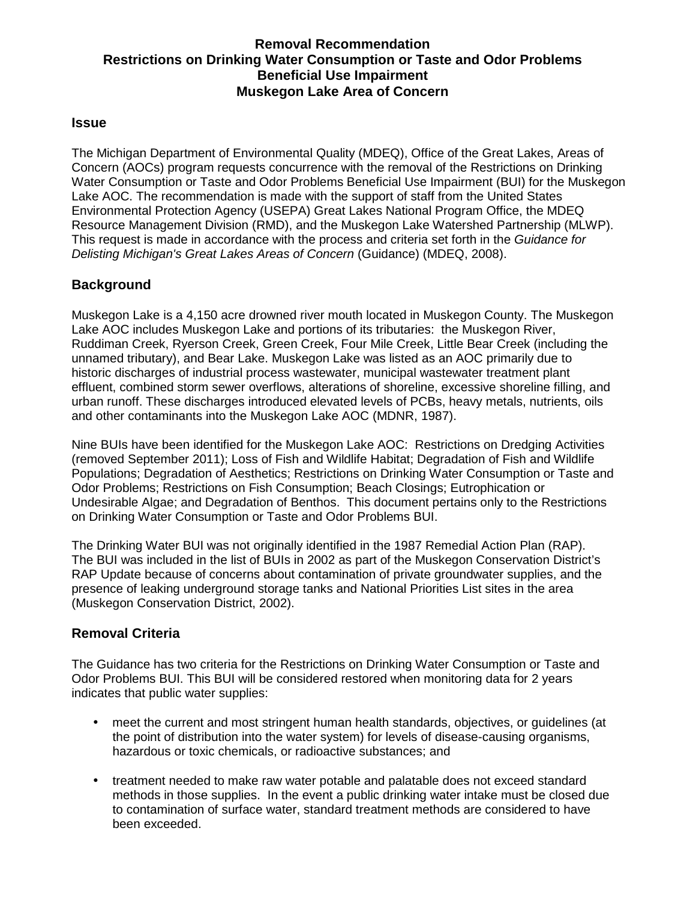# **Removal Recommendation Restrictions on Drinking Water Consumption or Taste and Odor Problems Beneficial Use Impairment Muskegon Lake Area of Concern**

### **Issue**

The Michigan Department of Environmental Quality (MDEQ), Office of the Great Lakes, Areas of Concern (AOCs) program requests concurrence with the removal of the Restrictions on Drinking Water Consumption or Taste and Odor Problems Beneficial Use Impairment (BUI) for the Muskegon Lake AOC. The recommendation is made with the support of staff from the United States Environmental Protection Agency (USEPA) Great Lakes National Program Office, the MDEQ Resource Management Division (RMD), and the Muskegon Lake Watershed Partnership (MLWP). This request is made in accordance with the process and criteria set forth in the Guidance for Delisting Michigan's Great Lakes Areas of Concern (Guidance) (MDEQ, 2008).

# **Background**

Muskegon Lake is a 4,150 acre drowned river mouth located in Muskegon County. The Muskegon Lake AOC includes Muskegon Lake and portions of its tributaries: the Muskegon River, Ruddiman Creek, Ryerson Creek, Green Creek, Four Mile Creek, Little Bear Creek (including the unnamed tributary), and Bear Lake. Muskegon Lake was listed as an AOC primarily due to historic discharges of industrial process wastewater, municipal wastewater treatment plant effluent, combined storm sewer overflows, alterations of shoreline, excessive shoreline filling, and urban runoff. These discharges introduced elevated levels of PCBs, heavy metals, nutrients, oils and other contaminants into the Muskegon Lake AOC (MDNR, 1987).

Nine BUIs have been identified for the Muskegon Lake AOC: Restrictions on Dredging Activities (removed September 2011); Loss of Fish and Wildlife Habitat; Degradation of Fish and Wildlife Populations; Degradation of Aesthetics; Restrictions on Drinking Water Consumption or Taste and Odor Problems; Restrictions on Fish Consumption; Beach Closings; Eutrophication or Undesirable Algae; and Degradation of Benthos. This document pertains only to the Restrictions on Drinking Water Consumption or Taste and Odor Problems BUI.

The Drinking Water BUI was not originally identified in the 1987 Remedial Action Plan (RAP). The BUI was included in the list of BUIs in 2002 as part of the Muskegon Conservation District's RAP Update because of concerns about contamination of private groundwater supplies, and the presence of leaking underground storage tanks and National Priorities List sites in the area (Muskegon Conservation District, 2002).

# **Removal Criteria**

The Guidance has two criteria for the Restrictions on Drinking Water Consumption or Taste and Odor Problems BUI. This BUI will be considered restored when monitoring data for 2 years indicates that public water supplies:

- meet the current and most stringent human health standards, objectives, or guidelines (at the point of distribution into the water system) for levels of disease-causing organisms, hazardous or toxic chemicals, or radioactive substances; and
- treatment needed to make raw water potable and palatable does not exceed standard methods in those supplies. In the event a public drinking water intake must be closed due to contamination of surface water, standard treatment methods are considered to have been exceeded.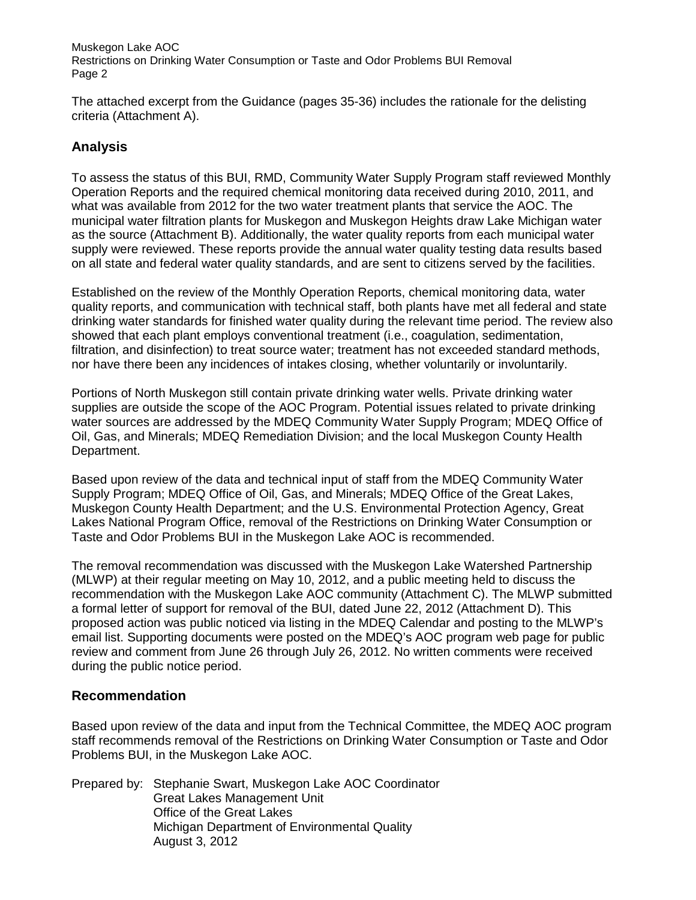The attached excerpt from the Guidance (pages 35-36) includes the rationale for the delisting criteria (Attachment A).

### **Analysis**

To assess the status of this BUI, RMD, Community Water Supply Program staff reviewed Monthly Operation Reports and the required chemical monitoring data received during 2010, 2011, and what was available from 2012 for the two water treatment plants that service the AOC. The municipal water filtration plants for Muskegon and Muskegon Heights draw Lake Michigan water as the source (Attachment B). Additionally, the water quality reports from each municipal water supply were reviewed. These reports provide the annual water quality testing data results based on all state and federal water quality standards, and are sent to citizens served by the facilities.

Established on the review of the Monthly Operation Reports, chemical monitoring data, water quality reports, and communication with technical staff, both plants have met all federal and state drinking water standards for finished water quality during the relevant time period. The review also showed that each plant employs conventional treatment (i.e., coagulation, sedimentation, filtration, and disinfection) to treat source water; treatment has not exceeded standard methods, nor have there been any incidences of intakes closing, whether voluntarily or involuntarily.

Portions of North Muskegon still contain private drinking water wells. Private drinking water supplies are outside the scope of the AOC Program. Potential issues related to private drinking water sources are addressed by the MDEQ Community Water Supply Program; MDEQ Office of Oil, Gas, and Minerals; MDEQ Remediation Division; and the local Muskegon County Health Department.

Based upon review of the data and technical input of staff from the MDEQ Community Water Supply Program; MDEQ Office of Oil, Gas, and Minerals; MDEQ Office of the Great Lakes, Muskegon County Health Department; and the U.S. Environmental Protection Agency, Great Lakes National Program Office, removal of the Restrictions on Drinking Water Consumption or Taste and Odor Problems BUI in the Muskegon Lake AOC is recommended.

The removal recommendation was discussed with the Muskegon Lake Watershed Partnership (MLWP) at their regular meeting on May 10, 2012, and a public meeting held to discuss the recommendation with the Muskegon Lake AOC community (Attachment C). The MLWP submitted a formal letter of support for removal of the BUI, dated June 22, 2012 (Attachment D). This proposed action was public noticed via listing in the MDEQ Calendar and posting to the MLWP's email list. Supporting documents were posted on the MDEQ's AOC program web page for public review and comment from June 26 through July 26, 2012. No written comments were received during the public notice period.

### **Recommendation**

Based upon review of the data and input from the Technical Committee, the MDEQ AOC program staff recommends removal of the Restrictions on Drinking Water Consumption or Taste and Odor Problems BUI, in the Muskegon Lake AOC.

Prepared by: Stephanie Swart, Muskegon Lake AOC Coordinator Great Lakes Management Unit Office of the Great Lakes Michigan Department of Environmental Quality August 3, 2012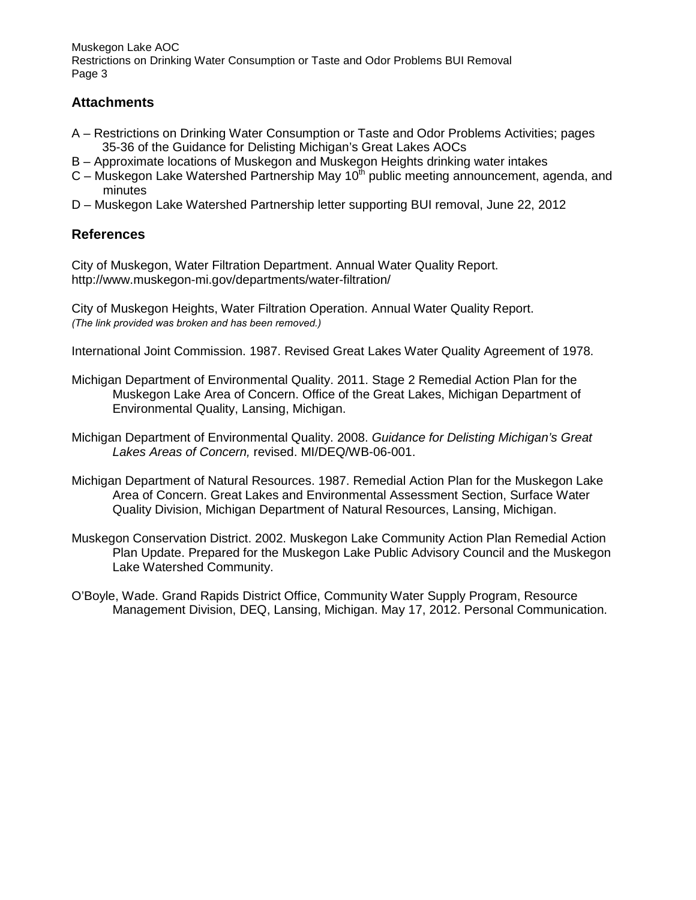# **Attachments**

- A Restrictions on Drinking Water Consumption or Taste and Odor Problems Activities; pages 35-36 of the Guidance for Delisting Michigan's Great Lakes AOCs
- B Approximate locations of Muskegon and Muskegon Heights drinking water intakes
- $C$  Muskegon Lake Watershed Partnership May 10<sup>th</sup> public meeting announcement, agenda, and minutes
- D Muskegon Lake Watershed Partnership letter supporting BUI removal, June 22, 2012

# **References**

City of Muskegon, Water Filtration Department. Annual Water Quality Report. http://www.muskegon-mi.gov/departments/water-filtration/

City of Muskegon Heights, Water Filtration Operation. Annual Water Quality Report. *(The link provided was broken and has been removed.)*

International Joint Commission. 1987. Revised Great Lakes Water Quality Agreement of 1978.

- Michigan Department of Environmental Quality. 2011. Stage 2 Remedial Action Plan for the Muskegon Lake Area of Concern. Office of the Great Lakes, Michigan Department of Environmental Quality, Lansing, Michigan.
- Michigan Department of Environmental Quality. 2008. Guidance for Delisting Michigan's Great Lakes Areas of Concern, revised. MI/DEQ/WB-06-001.
- Michigan Department of Natural Resources. 1987. Remedial Action Plan for the Muskegon Lake Area of Concern. Great Lakes and Environmental Assessment Section, Surface Water Quality Division, Michigan Department of Natural Resources, Lansing, Michigan.
- Muskegon Conservation District. 2002. Muskegon Lake Community Action Plan Remedial Action Plan Update. Prepared for the Muskegon Lake Public Advisory Council and the Muskegon Lake Watershed Community.
- O'Boyle, Wade. Grand Rapids District Office, Community Water Supply Program, Resource Management Division, DEQ, Lansing, Michigan. May 17, 2012. Personal Communication.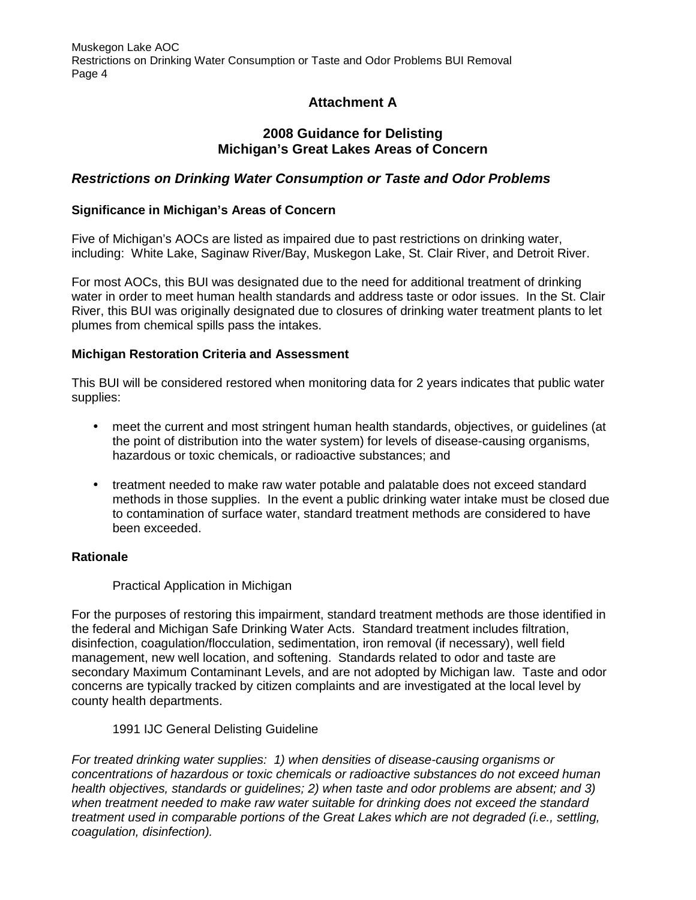# **Attachment A**

# **2008 Guidance for Delisting Michigan's Great Lakes Areas of Concern**

# **Restrictions on Drinking Water Consumption or Taste and Odor Problems**

### **Significance in Michigan's Areas of Concern**

Five of Michigan's AOCs are listed as impaired due to past restrictions on drinking water, including: White Lake, Saginaw River/Bay, Muskegon Lake, St. Clair River, and Detroit River.

For most AOCs, this BUI was designated due to the need for additional treatment of drinking water in order to meet human health standards and address taste or odor issues. In the St. Clair River, this BUI was originally designated due to closures of drinking water treatment plants to let plumes from chemical spills pass the intakes.

### **Michigan Restoration Criteria and Assessment**

This BUI will be considered restored when monitoring data for 2 years indicates that public water supplies:

- meet the current and most stringent human health standards, objectives, or quidelines (at the point of distribution into the water system) for levels of disease-causing organisms, hazardous or toxic chemicals, or radioactive substances; and
- treatment needed to make raw water potable and palatable does not exceed standard methods in those supplies. In the event a public drinking water intake must be closed due to contamination of surface water, standard treatment methods are considered to have been exceeded.

### **Rationale**

### Practical Application in Michigan

For the purposes of restoring this impairment, standard treatment methods are those identified in the federal and Michigan Safe Drinking Water Acts. Standard treatment includes filtration, disinfection, coagulation/flocculation, sedimentation, iron removal (if necessary), well field management, new well location, and softening. Standards related to odor and taste are secondary Maximum Contaminant Levels, and are not adopted by Michigan law. Taste and odor concerns are typically tracked by citizen complaints and are investigated at the local level by county health departments.

### 1991 IJC General Delisting Guideline

For treated drinking water supplies: 1) when densities of disease-causing organisms or concentrations of hazardous or toxic chemicals or radioactive substances do not exceed human health objectives, standards or guidelines; 2) when taste and odor problems are absent; and 3) when treatment needed to make raw water suitable for drinking does not exceed the standard treatment used in comparable portions of the Great Lakes which are not degraded (i.e., settling, coagulation, disinfection).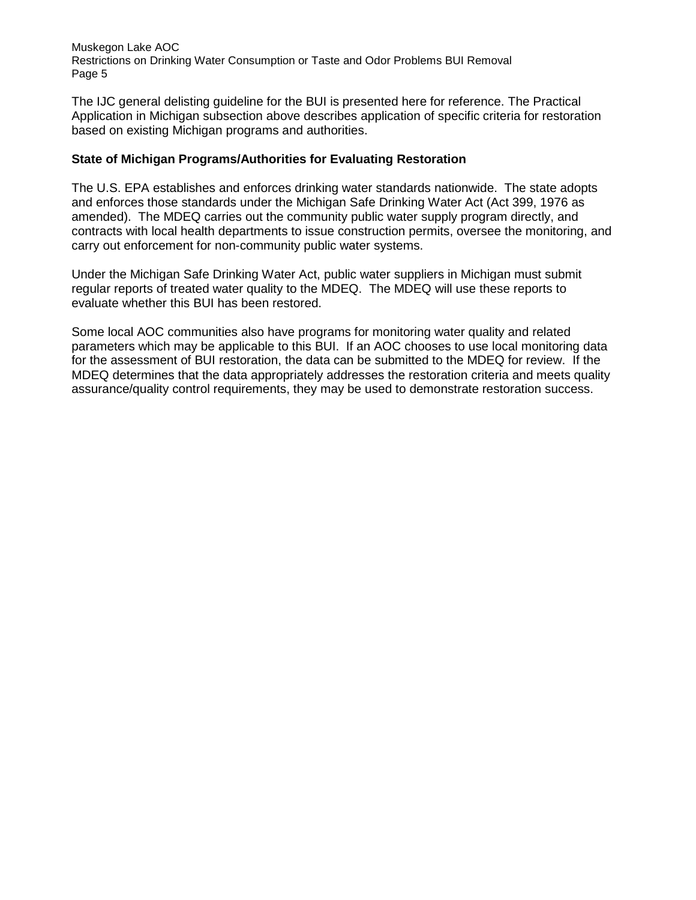The IJC general delisting guideline for the BUI is presented here for reference. The Practical Application in Michigan subsection above describes application of specific criteria for restoration based on existing Michigan programs and authorities.

### **State of Michigan Programs/Authorities for Evaluating Restoration**

The U.S. EPA establishes and enforces drinking water standards nationwide. The state adopts and enforces those standards under the Michigan Safe Drinking Water Act (Act 399, 1976 as amended). The MDEQ carries out the community public water supply program directly, and contracts with local health departments to issue construction permits, oversee the monitoring, and carry out enforcement for non-community public water systems.

Under the Michigan Safe Drinking Water Act, public water suppliers in Michigan must submit regular reports of treated water quality to the MDEQ. The MDEQ will use these reports to evaluate whether this BUI has been restored.

Some local AOC communities also have programs for monitoring water quality and related parameters which may be applicable to this BUI. If an AOC chooses to use local monitoring data for the assessment of BUI restoration, the data can be submitted to the MDEQ for review. If the MDEQ determines that the data appropriately addresses the restoration criteria and meets quality assurance/quality control requirements, they may be used to demonstrate restoration success.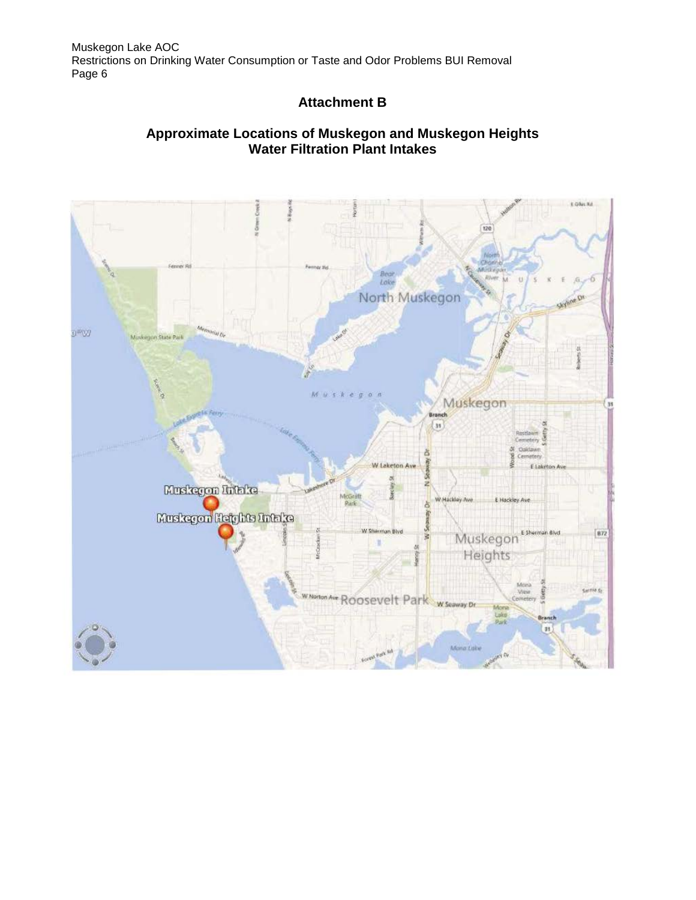# **Attachment B**

# **Approximate Locations of Muskegon and Muskegon Heights Water Filtration Plant Intakes**

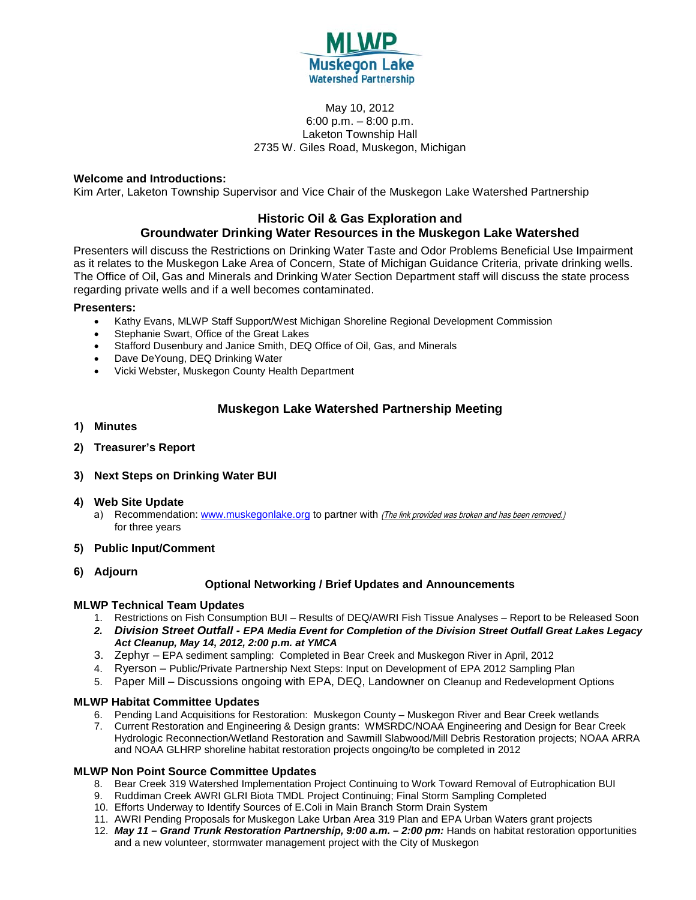

#### May 10, 2012 6:00 p.m. – 8:00 p.m. Laketon Township Hall 2735 W. Giles Road, Muskegon, Michigan

#### **Welcome and Introductions:**

Kim Arter, Laketon Township Supervisor and Vice Chair of the Muskegon Lake Watershed Partnership

#### **Historic Oil & Gas Exploration and Groundwater Drinking Water Resources in the Muskegon Lake Watershed**

Presenters will discuss the Restrictions on Drinking Water Taste and Odor Problems Beneficial Use Impairment as it relates to the Muskegon Lake Area of Concern, State of Michigan Guidance Criteria, private drinking wells. The Office of Oil, Gas and Minerals and Drinking Water Section Department staff will discuss the state process regarding private wells and if a well becomes contaminated.

#### **Presenters:**

- Kathy Evans, MLWP Staff Support/West Michigan Shoreline Regional Development Commission
- Stephanie Swart, Office of the Great Lakes
- Stafford Dusenbury and Janice Smith, DEQ Office of Oil, Gas, and Minerals
- Dave DeYoung, DEQ Drinking Water
- Vicki Webster, Muskegon County Health Department

### **Muskegon Lake Watershed Partnership Meeting**

- **1) Minutes**
- **2) Treasurer's Report**
- **3) Next Steps on Drinking Water BUI**

#### **4) Web Site Update**

- a) Recommendation: [www.muskegonlake.org](http://www.muskegonlake.org/) to partner with (The link provided was broken and has been removed.) for three years
- **5) Public Input/Comment**
- **6) Adjourn**

#### **Optional Networking / Brief Updates and Announcements**

#### **MLWP Technical Team Updates**

- 1. Restrictions on Fish Consumption BUI Results of DEQ/AWRI Fish Tissue Analyses Report to be Released Soon
- *2. Division Street Outfall EPA Media Event for Completion of the Division Street Outfall Great Lakes Legacy Act Cleanup, May 14, 2012, 2:00 p.m. at YMCA*
- 3. Zephyr EPA sediment sampling: Completed in Bear Creek and Muskegon River in April, 2012
- 4. Ryerson Public/Private Partnership Next Steps: Input on Development of EPA 2012 Sampling Plan
- 5. Paper Mill Discussions ongoing with EPA, DEQ, Landowner on Cleanup and Redevelopment Options

#### **MLWP Habitat Committee Updates**

- 6. Pending Land Acquisitions for Restoration: Muskegon County Muskegon River and Bear Creek wetlands
- 7. Current Restoration and Engineering & Design grants: WMSRDC/NOAA Engineering and Design for Bear Creek Hydrologic Reconnection/Wetland Restoration and Sawmill Slabwood/Mill Debris Restoration projects; NOAA ARRA and NOAA GLHRP shoreline habitat restoration projects ongoing/to be completed in 2012

#### **MLWP Non Point Source Committee Updates**

- 8. Bear Creek 319 Watershed Implementation Project Continuing to Work Toward Removal of Eutrophication BUI
- 9. Ruddiman Creek AWRI GLRI Biota TMDL Project Continuing; Final Storm Sampling Completed
- 10. Efforts Underway to Identify Sources of E.Coli in Main Branch Storm Drain System
- 11. AWRI Pending Proposals for Muskegon Lake Urban Area 319 Plan and EPA Urban Waters grant projects
- 12. *May 11 Grand Trunk Restoration Partnership, 9:00 a.m. 2:00 pm:* Hands on habitat restoration opportunities and a new volunteer, stormwater management project with the City of Muskegon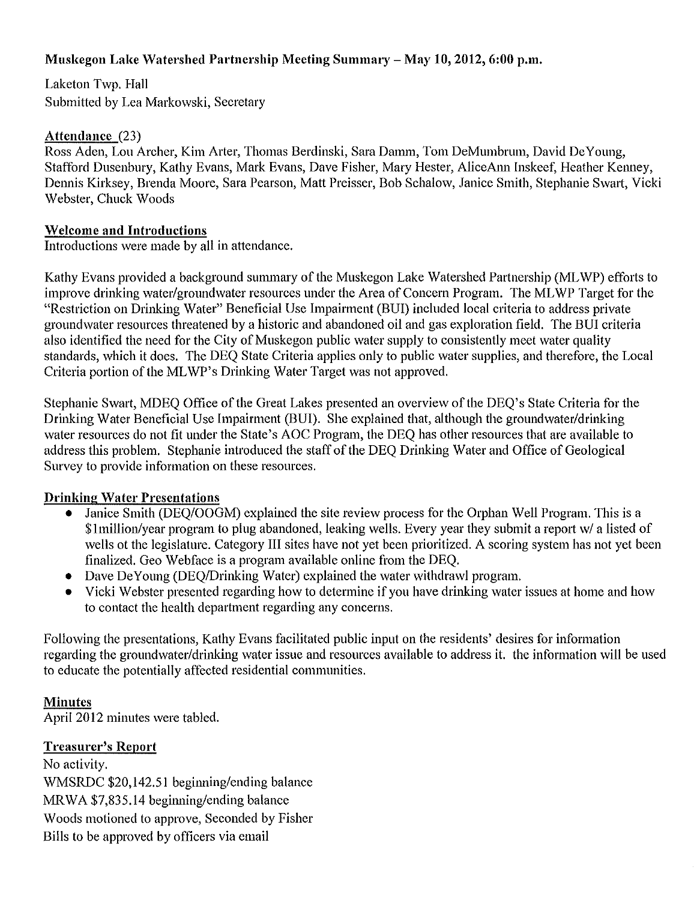# **Muskegon Lake Watershed Partnership Meeting Summary- May 10, 2012, 6:00p.m.**

Laketon Twp. Hall Submitted by Lea Markowski, Secretary

# **Attendance** (23)

Ross Aden, Lou Archer, Kim Arter, Thomas Berdinski, Sara Damm, Tom DeMumbrum, David DeYoung, Stafford Dusenbury, Kathy Evans, Mark Evans, Dave Fisher, Mary Hester, AliceAnn Inskeef, Heather Kenney, Dennis Kirksey, Brenda Moore, Sara Pearson, Matt Preisser, Bob Schalow, Janice Smith, Stephanie Swart, Vicki Webster, Chuck Woods

# **Welcome and Introductions**

Introductions were made by all in attendance.

Kathy Evans provided a background summary of the Muskegon Lake Watershed Partnership (ML WP) efforts to improve drinking water/groundwater resources under the Area of Concern Program. The MLWP Target for the "Restriction on Drinking Water" Beneficial Use Impairment (BUI) included local criteria to address private groundwater resources threatened by a historic and abandoned oil and gas exploration field. The BUI criteria also identified the need for the City of Muskegon public water supply to consistently meet water quality standards, which it does. The DEQ State Criteria applies only to public water supplies, and therefore, the Local Criteria portion of the MLWP's Drinking Water Target was not approved.

Stephanie Swart, MDEQ Office of the Great Lakes presented an overview of the DEQ's State Criteria for the Drinking Water Beneficial Use Impairment (BUI). She explained that, although the groundwater/drinking water resources do not fit under the State's AOC Program, the DEQ has other resources that are available to address this problem. Stephanie introduced the staff of the DEO Drinking Water and Office of Geological Survey to provide information on these resources.

# **Drinking Water Presentations**

- Janice Smith (DEQ/OOGM) explained the site review process for the Orphan Well Program. This is a \$!million/year program to plug abandoned, leaking wells. Every year they submit a report w/ a listed of wells ot the legislature. Category III sites have not yet been prioritized. A scoring system has not yet been finalized. Geo Webface is a program available online from the DEQ.
- Dave DeYoung (DEO/Drinking Water) explained the water withdrawl program.
- Vicki Webster presented regarding how to determine if you have drinking water issues at home and how to contact the health department regarding any concerns.

Following the presentations, Kathy Evans facilitated public input on the residents' desires for information regarding the groundwater/drinking water issue and resources available to address it. the information will be used to educate the potentially affected residential communities.

# **Minutes**

April 2012 minutes were tabled.

# **Treasurer's Report**

No activity. WMSRDC \$20,142.51 beginning/ending balance MRWA \$7,835.14 beginning/ending balance Woods motioned to approve, Seconded by Fisher Bills to be approved by officers via email